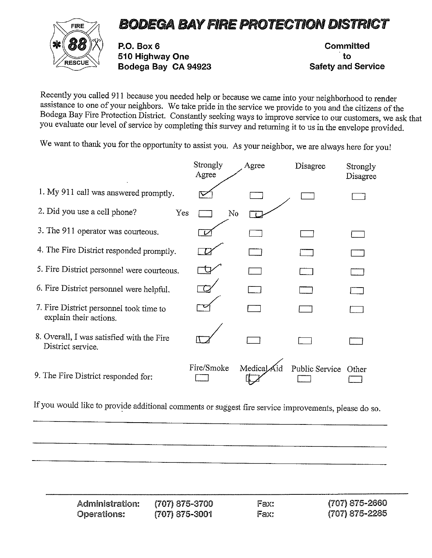## FIRE 7 BODEGA BAY FIRE PROTECTION DISTRICT



P.O. Box 6 Committed  $\overbrace{\text{RESCUE}}^{\text{RESCUE}}$  510 Highway One to to to V/ $\overbrace{\text{Bodega Bay CA 94923}}^{\text{ESCUE}}$ 

Recently you called 911 because you needed help or because we came into your neighborhood to render assistance to one of your neighbors. We take pride in the service we provide to you and the citizens of the Bodega Bay Fir you evaluate our level of service by completing this survey and returning it to us in the envelope provided.

We want to thank you for the opportunity to assist you. As your neighbor, we are always here for you!

|                                                                   | Strongly<br>Agree | Agree      | Disagree       | Strongly<br>Disagree |
|-------------------------------------------------------------------|-------------------|------------|----------------|----------------------|
| 1. My 911 call was answered promptly.                             |                   |            |                |                      |
| 2. Did you use a cell phone?<br>Yes                               |                   | No         |                |                      |
| 3. The 911 operator was courteous.                                |                   |            |                |                      |
| 4. The Fire District responded promptly.                          |                   |            |                |                      |
| 5. Fire District personnel were courteous.                        |                   |            |                |                      |
| 6. Fire District personnel were helpful.                          |                   |            |                |                      |
| 7. Fire District personnel took time to<br>explain their actions. |                   |            |                |                      |
| 8. Overall, I was satisfied with the Fire<br>District service.    |                   |            |                |                      |
| 9. The Fire District responded for:                               | Fire/Smoke        | MedicalAid | Public Service | Other                |

| Administration:    | (707) 875-3700 | Fax: | $(707)$ 875-2660 |
|--------------------|----------------|------|------------------|
| <b>Operations:</b> | (707) 875-3001 | Fax: | (707) 875-2285   |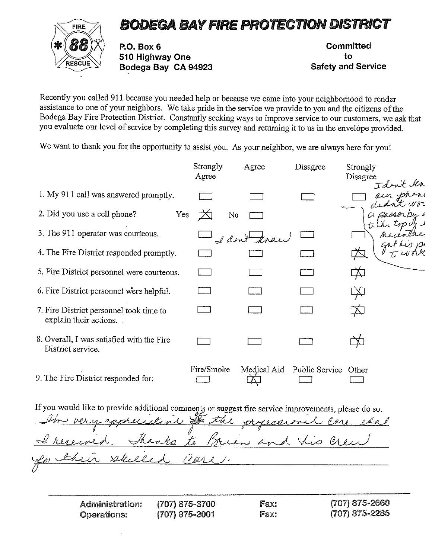## BODEGA BAYFIRE PROTECTION DISTRICT



RO. Box 6 510 Highway One Bodega Bay CA 94923

**Committed** to Safety and Service

Recently you called <sup>911</sup> because you needed help or because we came into your neighborhood to render assistance to one of your neighbors. We take pride in the service we provide to you and the citizens of the Bodega Bay Fire Protection District. Constantly seeking ways to improve service to our customers, we ask that you evaluate our level of service by completing this survey and returning it to us in the envelope provided.

We want to thank you for the opportunity to assist you. As your neighbor, we are always here for you!

|                                                                   | Strongly<br>Agree | Agree        | Disagree             | Strongly<br>Disagree |
|-------------------------------------------------------------------|-------------------|--------------|----------------------|----------------------|
| 1. My 911 call was answered promptly.                             |                   |              |                      | Idrit kn             |
| 2. Did you use a cell phone?<br>Yes                               | No                |              |                      | a passerby.          |
| 3. The 911 operator was courteous.                                |                   | I don't know |                      |                      |
| 4. The Fire District responded promptly.                          |                   |              |                      |                      |
| 5. Fire District personnel were courteous.                        |                   |              |                      |                      |
| 6. Fire District personnel were helpful.                          |                   |              |                      |                      |
| 7. Fire District personnel took time to<br>explain their actions. |                   |              |                      |                      |
| 8. Overall, I was satisfied with the Fire<br>District service.    |                   |              |                      |                      |
| 9. The Fire District responded for:                               | Fire/Smoke        | Medical Aid  | Public Service Other |                      |

In the processional care shat -~  $\frac{1}{2}$   $\frac{1}{2}$   $\frac{1}{2}$   $\frac{1}{2}$ ケク ~ <u>In their skilled Carl</u>

| <b>Administration:</b> | (707) 875-3700 | Fax: | (707) 875-2660 |
|------------------------|----------------|------|----------------|
| Operations:            | (707) 875-3001 | Fax: | (707) 875-2285 |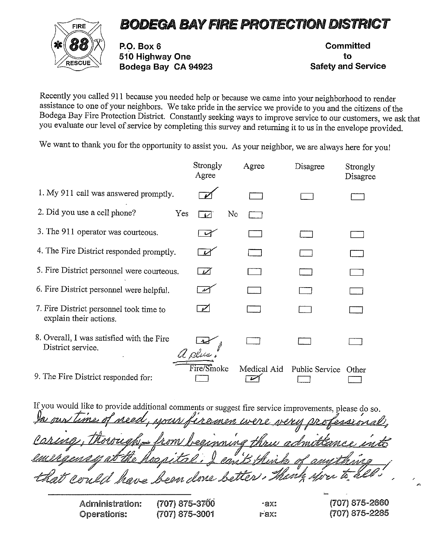## BODEGA BAYFIRE PROTECTION DISTRICT



P.O. Box 6 Committed '~ h~-\_\_\_-4. <sup>1</sup> <sup>510</sup> Highway One to Vz~E~ Bodega Bay CA <sup>94923</sup> Safety and Service

Recently you called 911 because you needed help or because we came into your neighborhood to render<br>assistance to one of your neighbors. We take pride in the service we provide to you and the citizens of the<br>Bodega Bay Fir you evaluate our level of service by completing this survey and returning it to us in the envelope provided.

We want to thank you for the opportunity to assist you. As your neighbor, we are always here for you!

|                                                                   | Strongly<br>Agree | Agree       | Disagree             | Strongly<br>Disagree |
|-------------------------------------------------------------------|-------------------|-------------|----------------------|----------------------|
| 1. My 911 call was answered promptly.                             |                   |             |                      |                      |
| 2. Did you use a cell phone?<br>Yes                               | No<br>المملا      |             |                      |                      |
| 3. The 911 operator was courteous.                                |                   |             |                      |                      |
| 4. The Fire District responded promptly.                          |                   |             |                      |                      |
| 5. Fire District personnel were courteous.                        | مسمو              |             |                      |                      |
| 6. Fire District personnel were helpful.                          |                   |             |                      |                      |
| 7. Fire District personnel took time to<br>explain their actions. | فلتحمي            |             |                      |                      |
| 8. Overall, I was satisfied with the Fire<br>District service.    | A plus            |             |                      |                      |
| 9. The Fire District responded for:                               | Fire/Smoke        | Medical Aid | Public Service Other |                      |

 $m \sim \sqrt{L/m}$ 1001 <u>ssoass</u> <u>remen iver</u> <u>nning thri</u> can B thin beon a lone betten, erill

| <b>Administration:</b> | (707) 875-3700 | -ax: | (707) 875-2660 |
|------------------------|----------------|------|----------------|
| Operations:            | (707) 875-3001 | rax: | (707) 875-2285 |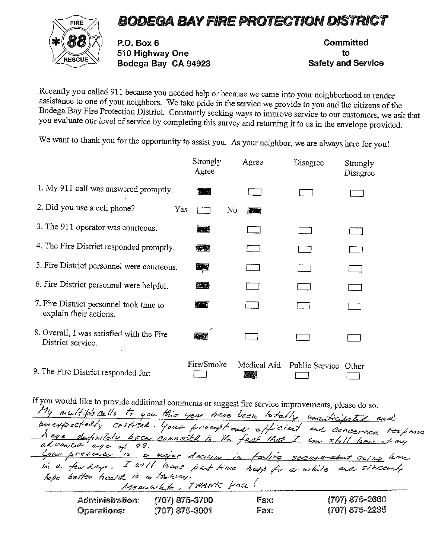## BODEGA BAVFIRE PROTECTION DISTRICT



P.O. Box 6 Committed ि 2000 का 2000 को उन्होंने पर प्रशासन कर से स्टेश्य कर प्रोग्रेसिडिया का अधिकारित कर प्रोग्रेसिडिया का अधिकार<br>अस्टाउट Bodega Bay CA 94923 Safety and Service

Recently you called 911 because you needed help or because we came into your neighborhood to render assistance to one of your neighbors. We take pride in the service we provide to you and the citizens of the Bodega Bay Fir

We want to thank you for the opportunity to assist you. As your neighbor, we are always here for you!

|                                                                   | Strongly<br>Agree | Agree              | Disagree             | Strongly<br>Disagree |
|-------------------------------------------------------------------|-------------------|--------------------|----------------------|----------------------|
| 1. My 911 call was answered promptly.                             | Funda             |                    |                      |                      |
| 2. Did you use a cell phone?<br>Yes                               | No.               | <b>REAL</b>        |                      |                      |
| 3. The 911 operator was courteous.                                | <b>All Street</b> |                    |                      |                      |
| 4. The Fire District responded promptly.                          | 經                 |                    |                      |                      |
| 5. Fire District personnel were courteous.                        | 編者                |                    |                      |                      |
| 6. Fire District personnel were helpful.                          | <b>REA</b>        |                    |                      |                      |
| 7. Fire District personnel took time to<br>explain their actions. | 梅藏                |                    |                      |                      |
| 8. Overall, I was satisfied with the Fire<br>District service.    | <b>KART</b>       |                    |                      |                      |
| 9. The Fire District responded for:                               | Fire/Smoke        | Medical Aid<br>523 | Public Service Other |                      |

| If you would like to provide additional comments or suggest fire service improvements, please do so. |                       |      |                                                                                                                                                   |
|------------------------------------------------------------------------------------------------------|-----------------------|------|---------------------------------------------------------------------------------------------------------------------------------------------------|
| My multiple calls to you this year have been totally unanticipated and                               |                       |      |                                                                                                                                                   |
|                                                                                                      |                       |      | unexpectedly critical. Your proupt and efficient and concerned too poiso<br>Kave definitely been connected to the fact that I am still have at my |
| advanced age of 95.                                                                                  |                       |      |                                                                                                                                                   |
|                                                                                                      |                       |      | Goar presence is a major decision in feeling secure-about gaing home                                                                              |
| in a few days. I will have part time help for a while and sincerely                                  |                       |      |                                                                                                                                                   |
| hope better health is in thousay.                                                                    | Meanwhile, THANK YOU! |      |                                                                                                                                                   |
| <b>Administration:</b>                                                                               | $(707)$ 875-3700      | Fax: | (707) 875-2660                                                                                                                                    |
| <b>Operations:</b>                                                                                   | $(707)$ 875-3001      | Fax: | (707) 875-2285                                                                                                                                    |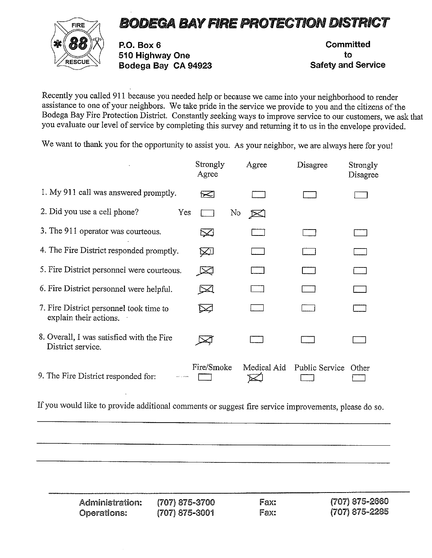## FIRE 7 BODEGA BAY FIRE PROTECTION DISTRICT



P.O. Box 6 Committed <sup>510</sup> Highway One to RESCUE Bodega Bay CA <sup>94923</sup> Safety and Service

Recently you called 911 because you needed help or because we came into your neighborhood to render assistance to one of your neighbors. We take pride in the service we provide to you and the citizens of the Bodega Bay Fire Protection District. Constantly seeking ways to improve service to our customers, we ask that you evaluate our level of service by completing this survey and returning it to us in the envelope provided.

We want to thank you for the opportunity to assist you. As your neighbor, we are always here for you!

|                                                                   | Strongly<br>Agree  | Agree        | Disagree             | Strongly<br>Disagree |
|-------------------------------------------------------------------|--------------------|--------------|----------------------|----------------------|
| 1. My 911 call was answered promptly.                             | ↣                  |              |                      |                      |
| 2. Did you use a cell phone?<br>Yes                               |                    | No<br>$\geq$ |                      |                      |
| 3. The 911 operator was courteous.                                | $\scriptstyle\sim$ |              |                      |                      |
| 4. The Fire District responded promptly.                          | $\bowtie$          |              |                      |                      |
| 5. Fire District personnel were courteous.                        | 贤                  |              |                      |                      |
| 6. Fire District personnel were helpful.                          | ⊵⊴                 |              |                      |                      |
| 7. Fire District personnel took time to<br>explain their actions. |                    |              |                      |                      |
| 8. Overall, I was satisfied with the Fire<br>District service.    |                    |              |                      |                      |
| 9. The Fire District responded for:                               | Fire/Smoke         | Medical Aid  | Public Service Other |                      |

If you would like to provide additional comments or suggest fire service improvements, please do so.

Administration: (707) 875-3700 Fax: (707) 875-2660 Operations: (707) 875-3001 Fax: (707) 875-2285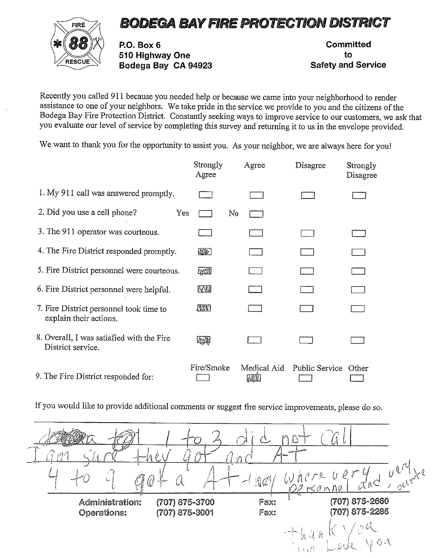## BODEGA BAYFIRE PROTECTION DISTRICT



RO. Box 6 510 Highway One Bodega Bay CA 94923

Committed to Safety and Service

Recently you called 911 because you needed help or because we came into your neighborhood to render<br>assistance to one of your neighbors. We take pride in the service we provide to you and the citizens of the<br>Bodega Bay Fir you evaluate our level of service by completing this survey and returning it to us in the envelope provided.

We want to thank you for the opportunity to assist you. As your neighbor, we are always here for you!

|                                                                   | Strongly<br>Agree | Agree               | Disagree       | Strongly<br>Disagree |
|-------------------------------------------------------------------|-------------------|---------------------|----------------|----------------------|
| 1. My 911 call was answered promptly.                             |                   |                     |                |                      |
| 2. Did you use a cell phone?<br>Yes                               |                   | N <sub>0</sub>      |                |                      |
| 3. The 911 operator was courteous.                                |                   |                     |                |                      |
| 4. The Fire District responded promptly.                          | 像第一               |                     |                |                      |
| 5. Fire District personnel were courteous.                        | man               |                     |                |                      |
| 6. Fire District personnel were helpful.                          | <b>AVV</b>        |                     |                |                      |
| 7. Fire District personnel took time to<br>explain their actions. | <b>TAVE</b>       |                     |                |                      |
| 8. Overall, I was satisfied with the Fire<br>District service.    | 全體                |                     |                |                      |
| 9. The Fire District responded for:                               | Fire/Smoke        | Medical Aid<br>MK H | Public Service | Other                |

| $\sim$ received.       |                | $\mathcal{F}_{\mathbf{a}}$ |                                                                                          |
|------------------------|----------------|----------------------------|------------------------------------------------------------------------------------------|
|                        |                |                            | <b>Change</b>                                                                            |
|                        |                | $\mathbb{R}^d$             | $U_{\text{out}}^{\text{out}}$<br>WAPTR<br>$U^{\mu}$<br>22 Konne                          |
| <b>Administration:</b> | (707) 875-3700 | Fax:                       | (707) 875-2660                                                                           |
| <b>Operations:</b>     | (707) 875-3001 | Fax:                       | (707) 875-2285<br>N OU<br>್ರಕಿರಸ್ತೆ<br>$\setminus \overline{\Omega} : \overline{\Omega}$ |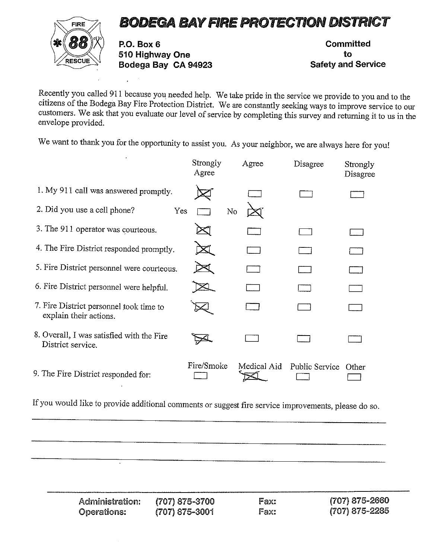



Ж (Об) / Р.О. Box 6 Committed Committed<br>— 510 Highway One to to to Safety and Service<br>— Bodega Bay CA 94923 Safety and Service

Recently you called 911 because you needed help. We take pride in the service we provide to you and to the citizens of the Bodega Bay Fire Protection District. We are constantly seeking ways to improve service to our custo

We want to thank you for the opportunity to assist you. As your neighbor, we are always here for you!

|                                                                   | Strongly<br>Agree | Agree       | Disagree              | Strongly<br>Disagree |
|-------------------------------------------------------------------|-------------------|-------------|-----------------------|----------------------|
| 1. My 911 call was answered promptly.                             |                   |             |                       |                      |
| 2. Did you use a cell phone?<br>Yes                               | No                |             |                       |                      |
| 3. The 911 operator was courteous.                                |                   |             |                       |                      |
| 4. The Fire District responded promptly.                          |                   |             |                       |                      |
| 5. Fire District personnel were courteous.                        |                   |             |                       |                      |
| 6. Fire District personnel were helpful.                          |                   |             |                       |                      |
| 7. Fire District personnel took time to<br>explain their actions. |                   |             |                       |                      |
| 8. Overall, I was satisfied with the Fire<br>District service.    |                   |             |                       |                      |
| 9. The Fire District responded for:                               | Fire/Smoke        | Medical Aid | <b>Public Service</b> | Other                |

If you would like to provide additional comments or suggest fire service improvements, please do so.

Administration: (707) 875-3700 Fax: (707) 875-2660<br>Operations: (707) 875-3001 Fax: (707) 875-2285 Operations: (707) 875-3001 Fax: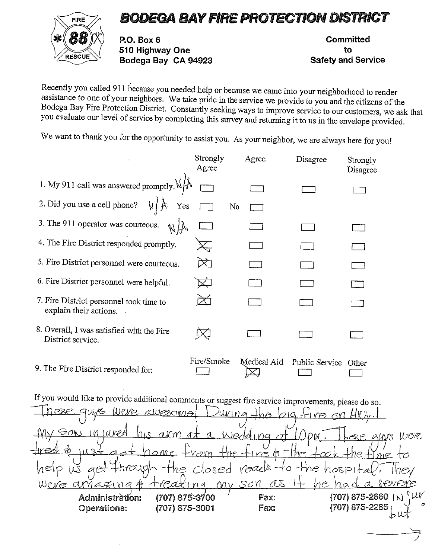## FIRE 77 BODEGA BAY FIRE PROTECTION DISTRICT



P.O. Box 6 Committed <sup>510</sup> Highway One to RESCUE Bodega Bay CA <sup>94923</sup> Safety and Service

Recently you called 911 because you needed help or because we came into your neighborhood to render assistance to one of your neighbors. We take pride in the service we provide to you and the citizens of the Bodega Bay Fir

We want to thank you for the opportunity to assist you. As your neighbor, we are always here for you!

|                                                                   | Strongly<br>Agree | Agree       | Disagree       | Strongly<br>Disagree |  |
|-------------------------------------------------------------------|-------------------|-------------|----------------|----------------------|--|
| 1. My 911 call was answered promptly. $\mathcal{N}/\mathcal{N}$   |                   |             |                |                      |  |
| 2. Did you use a cell phone? $\sqrt[k]{\mathcal{F}}$<br>Yes       |                   | No          |                |                      |  |
| 3. The 911 operator was courteous.<br>$\sqrt{1}$                  |                   |             |                |                      |  |
| 4. The Fire District responded promptly.                          |                   |             |                |                      |  |
| 5. Fire District personnel were courteous.                        | $\rtimes$         |             |                |                      |  |
| 6. Fire District personnel were helpful.                          |                   |             |                |                      |  |
| 7. Fire District personnel took time to<br>explain their actions. |                   |             |                |                      |  |
| 8. Overall, I was satisfied with the Fire<br>District service.    |                   |             |                |                      |  |
| 9. The Fire District responded for:                               | Fire/Smoke        | Medical Aid | Public Service | Other                |  |

If you would like to provide additional comments or suggest fire service improvements, please do so. aws Weve awesome rina  $\frac{\epsilon_{\text{ON}}}{\sqrt{2}}$  in juked his arm at a wedding <u>aw</u>s Were

 $-$  home from the fire  $\frac{1}{2}$  the took the fime  $111R$ roads to  $n$ ough the  $closed$ rnvsO4 <u>as It he had a severe</u> Were ax in a "Fax: (707) 875-2660 ~j L-~-~ Operations: (707) 875-3001 Fax: (707) 875-2285j, ~A\*Administration: (707) 875-3700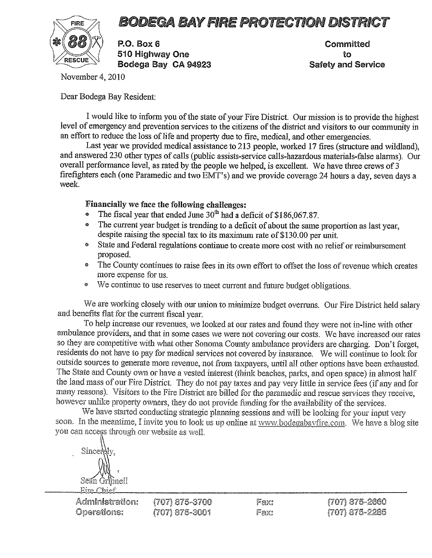## FIRE 7 BODEGA BAY FIRE PROTECTION DISTRICT



**Example 1510 Highway One**<br>RESCUE Bodega Bay CA 94923 Safety and Service

**Committed** 

November 4, 2010

Dear Bodega Bay Resident:

I would like to inform you of the state of your Fire District. Our mission is to provide the highest level of emergency and prevention services to the citizens of the district and visitors to our community in an effort to reduce the loss of life and property due to fire, medical, and other emergencies.

Last year we provided medical assistance to 213 people, worked 17 fires (structure and wildland), and answered 230 other types of calls (public assists-service calls-hazardous materials-false alarms). Our overall performan firefighters each (one Paramedic and two EMT's) and we provide coverage <sup>24</sup> hours <sup>a</sup> day, seven days <sup>a</sup> week.

## Financially we face the following challenges:

- The fiscal year that ended June  $30<sup>th</sup>$  had a deficit of \$186,067.87.
- The current year budget is trending to <sup>a</sup> deficit of about the same proportion as last year, despite raising the special tax to its maximum rate of \$130.00 per unit.
- State and Federal regulations continue to create more cost with no relief or reimbursement proposed.
- The County continues to raise fees in its own effort to offset the loss of revenue which creates more expense for us.
- We continue to use reserves to meet current and future budget obligations.

We are working closely with our union to minimize budget overruns. Our Fire District held salary and benefits flat for the current fiscal year.<br>To help increase our revenues, we looked at our rates and found they were not

ambulance providers, and that in some cases we were not covering our costs. We have increased our rates so they are competitive with what other Sonoma County ambulance providers are charging. Don't forget, residents do not have to pay for medical services not covered by insurance. We will continue to look for outside sources to generate more revenue, not from taxpayers, until all other options have been exhausted. The State many reasons). Visitors to the Fire District are billed for the paramedic and rescue services they receive, however unlike property owners, they do not provide funding for the availability of the services.<br>We have started

soon. In the meantime, I invite you to look us up online at www.bodegabayfire.com. We have a blog site you can access through our website as well.

Sincerdly. an Griffineil<br>Sean Griffineil Eire Chief

| Administration:    | $(707)$ 875-3700 | Fax: | $(707)$ 875-2660   |
|--------------------|------------------|------|--------------------|
| <b>Operations:</b> | $(707)$ 875-3001 | Fax: | $(707) 875 - 2285$ |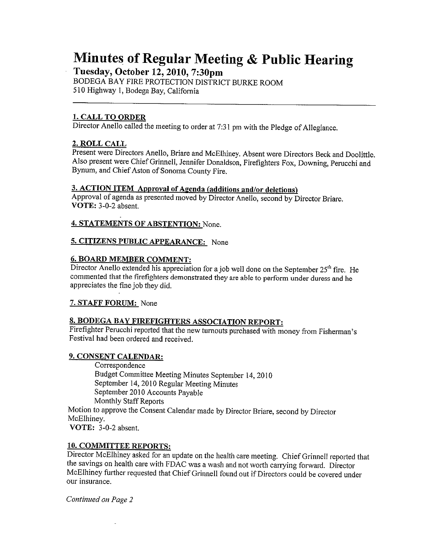# Minutes of Regular Meeting & Public Hearing Tuesday, October 12, 2010, 7:30pm

BODEGA BAY FIRE PROTECTION DISTRICT BURKE ROOM 510 Highway 1, Bodega Bay, California

### 1. CALL TO ORDER

Director Anello called the meeting to order at 7:31 pm with the Pledge of Allegiance.

### 2. ROLL CALL

Present were Directors Anello, Briare and McElhiney. Absent were Directors Beck and Doolittle. Also present were Chief Grinnell, Jennifer Donaldson, Firefighters Fox, Downing, Perucchi and Bynum, and Chief Aston of Sonoma County Fire.

3. ACTION ITEM Approval of Agenda (additions and/or deletions)<br>Approval of agenda as presented moved by Director Anello, second by Director Briare.<br>VOTE: 3-0-2 absent.

### 4. STATEMENTS OF ABSTENTION: None.

### 5. CITIZENS PUBLIC APPEARANCE: None

### 6. BOARD MEMBER COMMENT:

Director Anello extended his appreciation for a job well done on the September  $25<sup>th</sup>$  fire. He commented that the firefighters demonstrated they are able to perform under duress and he appreciates the fine job they d

### 7. STAFF FORUM: None

### 8. BODEGA BAY FIREFIGHTERS ASSOCIATION REPORT:

Firefighter Perucchi reported that the new turnouts purchased with money from Fisherman's Festival had been ordered and received.

### 9. CONSENT CALENDAR:

Correspondence Budget Committee Meeting Minutes September 14,2010 September 14,2010 Regular Meeting Minutes September <sup>2010</sup> Accounts Payable Monthly Staff Reports Motion to approve the Consent Calendar made by Director Briare, second by Director McElhiney. VOTE: 3-0-2 absent.

### 10. COMMITTEE REPORTS:

Director McElhiney asked for an update on the health care meeting. Chief Grinnell reported that<br>the savings on health care with FDAC was a wash and not worth carrying forward. Director<br>McElhiney further requested that Chie our insurance.

Continued on Page 2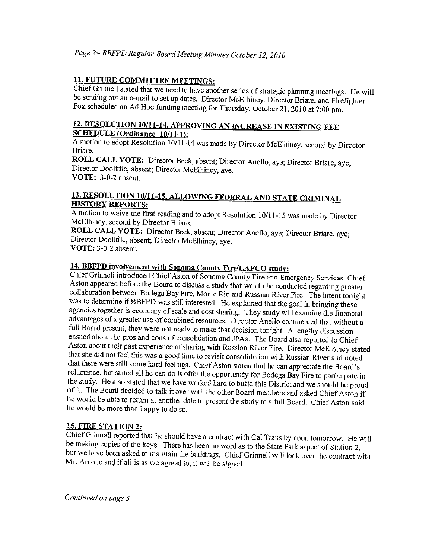11. FUTURE COMMITTEE MEETINGS:<br>Chief Grinnell stated that we need to have another series of strategic planning meetings. He will be sending out an e-mail to set up dates. Director McElhiney, Director Briare, and Firefighter Fox scheduled an Ad Hoc funding meeting for Thursday, October 21, 2010 at 7:00 pm.

## 12. RESOLUTION 10/11-14, APPROVING AN INCREASE iN EXISTING FEE SCHEDULE (Ordinance 10/11-1):

<sup>A</sup> motion to adopt Resolution 10/11-14 was made by Director McElhiney, second by Director Briare.

ROLL CALL VOTE: Director Beck, absent; Director Anello, aye; Director Briare, aye; Director Doolittle, absent; Director McElhiney, aye. VOTE: 3-0-2 absent.

# 13. RESOLUTION 10/11-15, ALLOWING FEDERAL AND STATE CRIMINAL HISTORY REPORTS:

A motion to waive the first reading and to adopt Resolution 10/11-15 was made by Director McElhiney, second by Director Briare.

ROLL CALL VOTE: Director Beck, absent; Director Anello, aye; Director Briare, aye; Director Doolitile, absent; Director McElhiney, aye. VOTE: 3-0-2 absent.

**14. BBFPD involvement with Sonoma County Fire/LAFCO study:**<br>Chief Grinnell introduced Chief Aston of Sonoma County Fire and Emergency Services. Chief Aston appeared before the Board to discuss a study that was to be condu Aston about their past experience of sharing with Russian River Fire. Director McElhiney stated<br>that she did not feel this was a good time to revisit consolidation with Russian River and noted<br>that there were still some ha

**15. FIRE STATION 2:**<br>Chief Grinnell reported that he should have a contract with Cal Trans by noon tomorrow. He will be making copies of the keys. There has been no word as to the State Park aspect of Station 2, but we have been asked to maintain the buildings. Chief Grinnell will look over the contract with Mr. Arnone and if all is as w

continued on page 3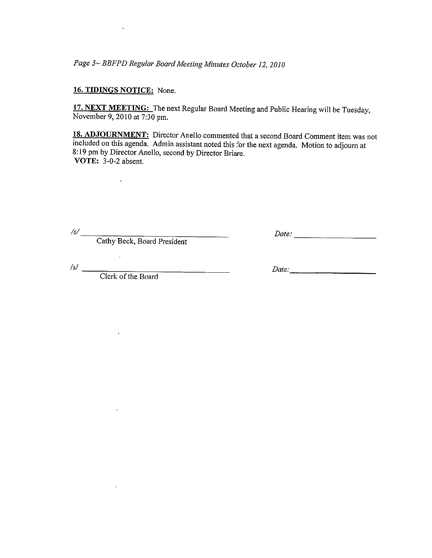Page 3— BBFPD Regular Board Meeting Minutes October 12, <sup>2010</sup>

### 16. TIDINGS NOTICE: None.

17. NEXT MEETING: The next Regular Board Meeting and Public Hearing will be Tuesday, November 9,2010 at 7:30 pm.

18. ADJOURNMENT: Director Anello commented that a second Board Comment item was not included on this agenda. Admin assistant noted this for the next agenda. Motion to adjourn at 8:19 pm by Director Anello, second by Director Briare. VOTE: 3-0-2 absent. Page 3~ BBFPD Regular Board Meeting Minutes October 12, 2010<br> **16. TIDINGS NOTICE:** None.<br> **17. NEXT MEETING:** The next Regular Board Meeting and Public<br>
November 9, 2010 at 7:30 pm.<br> **18. ADJOURNMENT:** Director Anello com

Cathy Beck, Board President

 $\mathcal{S}/\underline{\hspace{2cm}}$  Date:

Clerk of the Board

 $\ddot{\phantom{a}}$ 

 $\overline{a}$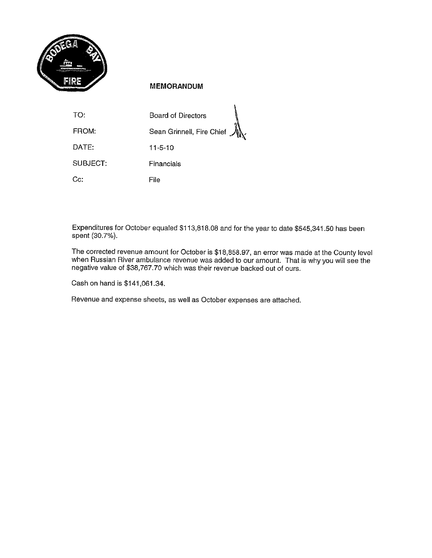

### MEMORANDUM

| TO:           | <b>Board of Directors</b>    |
|---------------|------------------------------|
| FROM:         | Sean Grinnell, Fire Chief M. |
| DATE:         | $11 - 5 - 10$                |
| SUBJECT:      | Financials                   |
| $C_{\rm G}$ : | File                         |

Expenditures for October equaled \$113,818.08 and for the year to date \$545,341.50 has been spent (30.7%).

The corrected revenue amount for October is \$18,858.97, an error was made at the County level when Russian River ambulance revenue was added to our amount. That is why you will see the negative value of \$38,767.70 which wa

Cash on hand is \$141,061.34.

Revenue and expense sheets, as well as October expenses are attached.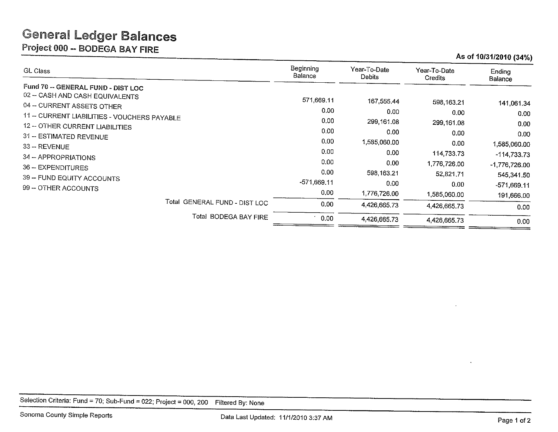## General Ledger Balances

Project 000 -- BODEGA BAY FIRE

## As of 1013112010 (34%)

| GL Class                                                                                                                                                                                                                                                                                                                         | Beginning<br><b>Balance</b>                                                               | Year-To-Date<br>Debits                                                                                          | Year-To-Date<br>Credits                                                                                             | Ending<br>Balance                                                                                                   |
|----------------------------------------------------------------------------------------------------------------------------------------------------------------------------------------------------------------------------------------------------------------------------------------------------------------------------------|-------------------------------------------------------------------------------------------|-----------------------------------------------------------------------------------------------------------------|---------------------------------------------------------------------------------------------------------------------|---------------------------------------------------------------------------------------------------------------------|
| Fund 70 -- GENERAL FUND - DIST LOC<br>02 - CASH AND CASH EQUIVALENTS<br>04 - CURRENT ASSETS OTHER<br>11 -- CURRENT LIABILITIES - VOUCHERS PAYABLE<br>12 -- OTHER CURRENT LIABILITIES<br>31 -- ESTIMATED REVENUE<br>33 -- REVENUE<br>34 - APPROPRIATIONS<br>36 - EXPENDITURES<br>39 - FUND EQUITY ACCOUNTS<br>99 - OTHER ACCOUNTS | 571,669.11<br>0.00<br>0.00<br>0.00<br>0,00<br>0.00<br>0.00<br>0.00<br>-571,669.11<br>0.00 | 167,555.44<br>0.00<br>299,161.08<br>0.00<br>1,585,060.00<br>0.00<br>0.00<br>598, 163.21<br>0.00<br>1,776,726.00 | 598.163.21<br>0.00<br>299,161.08<br>0.00<br>0.00<br>114,733.73<br>1,776,726.00<br>52,821.71<br>0.00<br>1,585,060.00 | 141,061.34<br>0.00<br>0.00<br>0.00<br>1,585,060.00<br>-114,733.73<br>$-1,776,726.00$<br>545,341.50<br>$-571,669.11$ |
| Total GENERAL FUND - DIST LOC                                                                                                                                                                                                                                                                                                    | 0.00                                                                                      | 4,426,665.73                                                                                                    | 4.426,665.73                                                                                                        | 191,666.00<br>0.00                                                                                                  |
| Total BODEGA BAY FIRE                                                                                                                                                                                                                                                                                                            | $\cdot$ 0.00                                                                              | 4,426,665.73                                                                                                    | 4,426,665.73                                                                                                        | 0.00                                                                                                                |

Selection Criteria: Fund <sup>=</sup> 70; Sub-Fund <sup>=</sup> 022; Project <sup>=</sup> 000, <sup>200</sup> Filtered By: None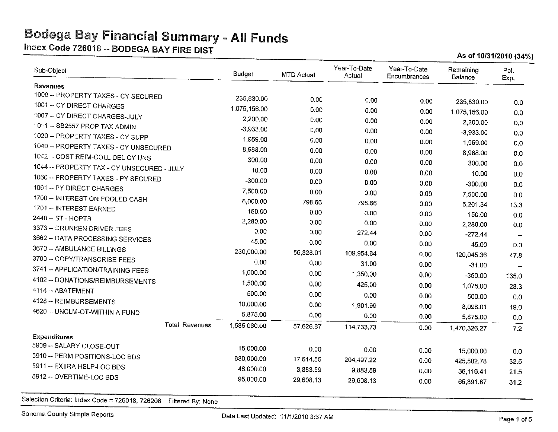Index Code 726018 -- BODEGA BAY FIRE DIST<br>As of 10/31/2010 (34%)

| Sub-Object                                 | <b>Budget</b> | MTD Actual | Year-To-Date<br>Actual | Year-To-Date<br>Encumbrances | Remaining<br>Balance | Pct.<br>Exp.         |
|--------------------------------------------|---------------|------------|------------------------|------------------------------|----------------------|----------------------|
| Revenues                                   |               |            |                        |                              |                      |                      |
| 1000 - PROPERTY TAXES - CY SECURED         | 235.830.00    | 0.00       | 0.00                   | 0.00                         | 235,830.00           |                      |
| 1001 -- CY DIRECT CHARGES                  | 1,075,156.00  | 0.00       | 0.00                   | 0.00                         | 1,075,156.00         | 0.0                  |
| 1007 -- CY DIRECT CHARGES-JULY             | 2,200.00      | 0.00       | 0.00                   | 0.00                         | 2,200.00             | 0.0                  |
| 1011 - SB2557 PROP TAX ADMIN               | $-3,933.00$   | 0.00       | 0.00                   | 0.00                         | $-3,933.00$          | 0.0                  |
| 1020 - PROPERTY TAXES - CY SUPP            | 1,959.00      | 0.00       | 0.00                   | 0.00                         | 1,959.00             | 0.0                  |
| 1040 - PROPERTY TAXES - CY UNSECURED       | 8,988.00      | 0.00       | 0.00                   | 0.00                         | 8,988.00             | 0.0                  |
| 1042 - COST REIM-COLL DEL CY UNS           | 300.00        | 0.00       | 0.00                   | 0.00                         | 300.00               | 0.0                  |
| 1044 -- PROPERTY TAX - CY UNSECURED - JULY | 10.00         | 0.00       | 0.00                   | 0.00                         | 10.00                | 0.0<br>0.0           |
| 1060 - PROPERTY TAXES - PY SECURED         | $-300.00$     | 0.00       | 0.00                   | 0.00                         | $-300.00$            | 0.0                  |
| 1061 -- PY DIRECT CHARGES                  | 7,500.00      | 0.00       | 0.00                   | 0.00                         | 7,500.00             | 0.0                  |
| 1700 -- INTEREST ON POOLED CASH            | 6,000.00      | 798.66     | 798.66                 | 0.00                         | 5,201.34             | 13.3                 |
| 1701 - INTEREST EARNED                     | 150.00        | 0.00       | 0.00                   | 0.00                         | 150.00               | 0.0                  |
| 2440 -- ST - HOPTR                         | 2,280.00      | 0.00       | 0.00                   | 0.00                         | 2,280.00             | 0.0                  |
| 3373 - DRUNKEN DRIVER FEES                 | 0.00          | 0.00       | 272.44                 | 0.00                         | $-272.44$            |                      |
| 3662 -- DATA PROCESSING SERVICES           | 45.00         | 0.00       | 0.00                   | 0.00                         | 45.00                | 0.0                  |
| 3670 -- AMBULANCE BILLINGS                 | 230,000.00    | 56,828.01  | 109,954.64             | 0.00                         | 120,045.36           | 47.8                 |
| 3700 - COPY/TRANSCRIBE FEES                | 0.00          | 0.00       | 31.00                  | 0.00                         | $-31.00$             | $\ddot{\phantom{a}}$ |
| 3741 - APPLICATION/TRAINING FEES           | 1,000.00      | 0.00       | 1,350.00               | 0.00                         | $-350.00$            | 135.0                |
| 4102 - DONATIONS/REIMBURSEMENTS            | 1,500.00      | 0.00       | 425.00                 | 0.00                         | 1,075.00             | 28.3                 |
| 4114 - ABATEMENT                           | 500.00        | 0.00       | 0.00                   | 0.00                         | 500.00               | 0.0                  |
| 4128 -- REIMBURSEMENTS                     | 10,000.00     | 0.00       | 1,901.99               | 0.00                         | 8,098.01             | 19.0                 |
| 4620 - UNCLM-OT-WITHIN A FUND              | 5,875.00      | 0.00       | 0.00                   | 0.00                         | 5,875.00             | 0.0                  |
| <b>Total Revenues</b>                      | 1,585,060.00  | 57,626.67  | 114,733.73             | 0.00                         | 1,470,326.27         | 7.2                  |
| <b>Expenditures</b>                        |               |            |                        |                              |                      |                      |
| 5909 - SALARY CLOSE-OUT                    | 15,000.00     | 0.00       | 0.00                   | 0.00                         | 15,000.00            | 0.0                  |
| 5910 - PERM POSITIONS-LOC BDS              | 630,000.00    | 17,614.55  | 204,497.22             | 0.00                         | 425,502.78           | 32.5                 |
| 5911 -- EXTRA HELP-LOC BDS                 | 46,000.00     | 3,883.59   | 9,883.59               | 0.00                         | 36,116.41            | 21.5                 |
| 5912 - OVERTIME-LOC BDS                    | 95,000.00     | 29,608.13  | 29,608.13              | 0.00                         | 65,391.87            | 31.2                 |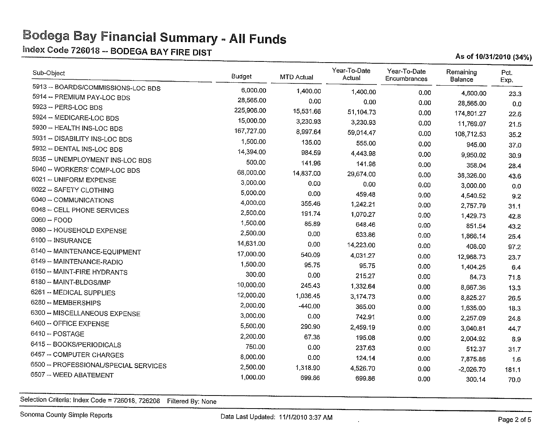$\frac{\text{Index Code } 726018 - \text{BODEGA BAY FIRE DIST}}{}$  As of 10/31/2010 (34%)

| Sub-Object                           | Budget     | <b>MTD Actual</b> | Year-To-Date<br>Actual | Year-To-Date<br>Encumbrances | Remaining<br>Balance  | Pct.<br>Exp.  |
|--------------------------------------|------------|-------------------|------------------------|------------------------------|-----------------------|---------------|
| 5913 -- BOARDS/COMMISSIONS-LOC BDS   | 6,000.00   | 1,400.00          | 1,400.00               | 0.00                         | 4,600.00              | 23.3          |
| 5914 -- PREMIUM PAY-LOC BDS          | 28,565.00  | 0.00              | 0.00                   | 0.00                         | 28,565.00             | 0.0           |
| 5923 - PERS-LOC BDS                  | 225,906.00 | 15,531.66         | 51, 104.73             | 0.00                         | 174,801.27            | 22.6          |
| 5924 -- MEDICARE-LOC BDS             | 15,000.00  | 3,230.93          | 3,230.93               | 0.00                         | 11,769.07             | 21.5          |
| 5930 -- HEALTH INS-LOC BDS           | 167,727.00 | 8,997.64          | 59,014.47              | 0.00                         | 108,712.53            | 35.2          |
| 5931 - DISABILITY INS-LOC BDS        | 1,500.00   | 135.00            | 555.00                 | 0.00                         | 945.00                |               |
| 5932 -- DENTAL INS-LOC BDS           | 14,394.00  | 984.59            | 4,443.98               | 0.00                         |                       | 37.0          |
| 5935 - UNEMPLOYMENT INS-LOC BDS      | 500.00     | 141.96            | 141.96                 | 0.00                         | 9,950.02              | 30.9          |
| 5940 -- WORKERS' COMP-LOC BDS        | 68,000.00  | 14,837.00         | 29,674.00              | 0.00                         | 358.04                | 28.4          |
| 6021 -- UNIFORM EXPENSE              | 3,000.00   | 0.00              | 0.00                   | 0.00                         | 38,326.00             | 43.6          |
| 6022 - SAFETY CLOTHING               | 5,000.00   | 0.00              | 459.48                 | 0.00                         | 3,000.00<br>4,540.52  | 0.0           |
| 6040 -- COMMUNICATIONS               | 4,000.00   | 355.46            | 1,242.21               | 0.00                         | 2,757.79              | 9.2           |
| 6048 -- CELL PHONE SERVICES          | 2,500.00   | 191.74            | 1,070.27               | 0.00                         | 1,429.73              | 31.1          |
| 6060 - FOOD                          | 1,500.00   | 85.89             | 648.46                 | 0.00                         | 851.54                | 42.8          |
| 6080 -- HOUSEHOLD EXPENSE            | 2,500.00   | 0.00              | 633.86                 | 0.00                         | 1,866.14              | 43.2          |
| 6100 - INSURANCE                     | 14,631.00  | 0.00              | 14,223.00              | 0.00                         | 408.00                | 25.4          |
| 6140 - MAINTENANCE-EQUIPMENT         | 17,000.00  | 540.09            | 4.031.27               | 0.00                         |                       | 97.2          |
| 6149 - MAINTENANCE-RADIO             | 1,500.00   | 95.75             | 95.75                  | 0.00                         | 12,968.73             | 23.7          |
| 6150 -- MAINT-FIRE HYDRANTS          | 300.00     | 0.00              | 215.27                 | 0.00                         | 1,404.25              | 6.4           |
| 6180 -- MAINT-BLDGS/IMP              | 10,000.00  | 245.43            | 1,332.64               | 0.00                         | 84.73                 | 71.8          |
| 6261 -- MEDICAL SUPPLIES             | 12,000.00  | 1,036.45          | 3,174.73               |                              | 8,667.36              | 13.3          |
| 6280 - MEMBERSHIPS                   | 2,000.00   | $-440.00$         | 365.00                 | 0.00                         | 8,825.27              | 26.5          |
| 6300 -- MISCELLANEOUS EXPENSE        | 3,000.00   | 0.00              | 742.91                 | 0.00                         | 1,635.00              | 18.3          |
| 6400 - OFFICE EXPENSE                | 5,500.00   | 290.90            | 2,459.19               | 0.00                         | 2,257.09              | 24.8          |
| 6410 - POSTAGE                       | 2,200.00   | 67.36             | 195.08                 | 0.00                         | 3,040.81              | 44.7          |
| 6415 - BOOKS/PERIODICALS             | 750.00     | 0.00              |                        | 0.00                         | 2,004.92              | 8.9           |
| 6457 - COMPUTER CHARGES              | 8,000.00   | 0.00              | 237.63                 | 0.00                         | 512.37                | 31.7          |
| 6500 - PROFESSIONAL/SPECIAL SERVICES | 2,500.00   | 1,318.90          | 124.14                 | 0.00                         | 7,875.86              | 1.6           |
| 6507 -- WEED ABATEMENT               | 1,000.00   | 699.86            | 4,526.70<br>699.86     | 0.00<br>0.00                 | $-2,026.70$<br>300.14 | 181.1<br>70.0 |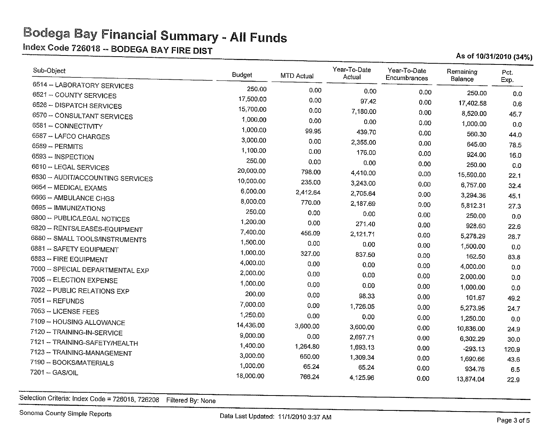~ndex Code 726013-- BODEGA BAY FIRE DIST As of <sup>1013112010</sup> (34%)

| Sub-Object                       | <b>Budget</b> | MTD Actual | Year-To-Date<br>Actual | Year-To-Date<br>Encumbrances | Remaining<br>Balance | Pct.<br>Exp. |
|----------------------------------|---------------|------------|------------------------|------------------------------|----------------------|--------------|
| 6514 -- LABORATORY SERVICES      | 250.00        | 0.00       | 0.00                   | 0.00                         |                      |              |
| 6521 - COUNTY SERVICES           | 17,500.00     | 0.00       | 97.42                  | 0.00                         | 250.00               | 0.0          |
| 6526 - DISPATCH SERVICES         | 15,700.00     | 0.00       | 7,180.00               | 0.00                         | 17,402.58            | 0.6          |
| 6570 -- CONSULTANT SERVICES      | 1,000.00      | 0.00       | 0.00                   | 0.00                         | 8,520.00             | 45.7         |
| 6581 - CONNECTIVITY              | 1,000.00      | 99.95      | 439.70                 |                              | 1,000.00             | 0.0          |
| 6587 - LAFCO CHARGES             | 3,000.00      | 0.00       | 2,355.00               | 0.00                         | 560.30               | 44.0         |
| 6589 - PERMITS                   | 1,100.00      | 0.00       | 176.00                 | 0.00                         | 645.00               | 78.5         |
| 6593 -- INSPECTION               | 250.00        | 0.00       | 0.00                   | 0.00                         | 924.00               | 16.0         |
| 6610 -- LEGAL SERVICES           | 20,000.00     | 798.00     | 4,410.00               | 0.00                         | 250.00               | 0.0          |
| 6630 - AUDIT/ACCOUNTING SERVICES | 10,000.00     | 235.00     |                        | 0.00                         | 15,590.00            | 22.1         |
| 6654 - MEDICAL EXAMS             | 6,000.00      | 2,412.64   | 3,243.00               | 0.00                         | 6,757.00             | 32.4         |
| 6666 -- AMBULANCE CHGS           | 8,000.00      | 770.00     | 2,705.64<br>2,187.69   | 0.00                         | 3,294.36             | 45.1         |
| 6695 - IMMUNIZATIONS             | 250.00        | 0.00       | 0.00                   | 0.00                         | 5,812.31             | 27.3         |
| 6800 -- PUBLIC/LEGAL NOTICES     | 1,200.00      | 0.00       |                        | 0.00                         | 250.00               | 0.0          |
| 6820 -- RENTS/LEASES-EQUIPMENT   | 7,400.00      | 456.09     | 271.40                 | 0.00                         | 928.60               | 22.6         |
| 6880 -- SMALL TOOLS/INSTRUMENTS  | 1,500.00      | 0.00       | 2,121.71               | 0.00                         | 5,278.29             | 28.7         |
| 6881 - SAFETY EQUIPMENT          | 1,000.00      | 327.00     | 0.00                   | 0.00                         | 1,500.00             | 0.0          |
| 6883 -- FIRE EQUIPMENT           | 4,000.00      | 0.00       | 837.50                 | 0.00                         | 162.50               | 83.8         |
| 7000 -- SPECIAL DEPARTMENTAL EXP | 2,000.00      |            | 0.00                   | 0.00                         | 4,000.00             | 0.0          |
| 7005 - ELECTION EXPENSE          | 1,000.00      | 0.00       | 0.00                   | 0.00                         | 2,000.00             | 0.0          |
| 7022 - PUBLIC RELATIONS EXP      | 200.00        | 0.00       | 0.00                   | 0.00                         | 1,000.00             | 0.0          |
| 7051 -- REFUNDS                  |               | 0.00       | 98.33                  | 0.00                         | 101.67               | 49.2         |
| 7053 - LICENSE FEES              | 7,000.00      | 0.00       | 1,726.05               | 0.00                         | 5,273.95             | 24.7         |
| 7109 - HOUSING ALLOWANCE         | 1,250.00      | 0.00       | 0.00                   | 0.00                         | 1,250.00             | 0.0          |
| 7120 -- TRAINING-IN-SERVICE      | 14,436.00     | 3,600.00   | 3,600.00               | 0.00                         | 10,836.00            | 24.9         |
| 7121 -- TRAINING-SAFETY/HEALTH   | 9,000.00      | 0.00       | 2,697.71               | 0.00                         | 6,302.29             | 30.0         |
| 7123 - TRAINING-MANAGEMENT       | 1,400.00      | 1,264.80   | 1,693.13               | 0.00                         | $-293.13$            | 120.9        |
| 7190 - BOOKS/MATERIALS           | 3,000.00      | 650.00     | 1,309.34               | 0.00                         | 1,690.66             | 43.6         |
| 7201 - GAS/OIL                   | 1,000.00      | 65.24      | 65.24                  | 0.00                         | 934.76               | 6.5          |
|                                  | 18,000.00     | 766.24     | 4,125.96               | 0.00                         | 13,874.04            | 22.9         |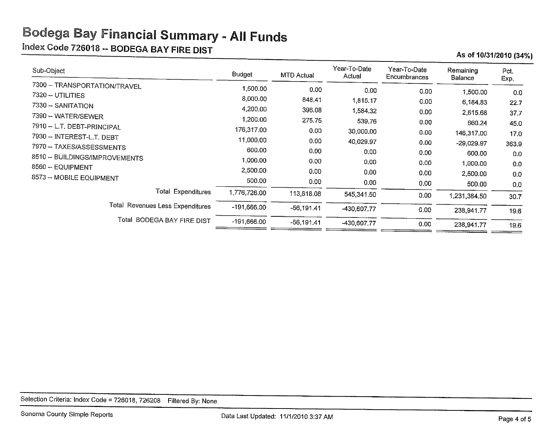$\frac{\text{Index Code 726018 - BODEGA BAY FIRE DIST}}{}$  As of 10/31/2010 (34%)

| Sub-Object                                        | Budget             | MTD Actual   | Year-To-Date<br>Actual | Year-To-Date<br>Encumbrances | Remaining<br>Balance | Pct.<br>Exp. |
|---------------------------------------------------|--------------------|--------------|------------------------|------------------------------|----------------------|--------------|
| 7300 -- TRANSPORTATION/TRAVEL                     | 1,500.00           | 0.00         | 0.00                   | 0.00                         | 1,500.00             | 0.0          |
| 7320 - UTILITIES                                  | 8,000.00           | 848.41       | 1,815.17               | 0.00                         | 6,184.83             | 22.7         |
| 7330 - SANITATION                                 | 4,200.00           | 396.08       | 1,584.32               | 0.00                         | 2,615.68             | 37.7         |
| 7390 -- WATER/SEWER<br>7910 - L.T. DEBT-PRINCIPAL | 1,200.00           | 275,75       | 539.76                 | 0.00                         | 660.24               | 45.0         |
| 7930 -- INTEREST-L.T. DEBT                        | 176,317.00         | 0.00         | 30,000.00              | 0.00                         | 146,317.00           | 17.0         |
| 7970 - TAXES/ASSESSMENTS                          | 11,000.00          | 0.00         | 40.029.97              | 0.00                         | $-29,029.97$         | 363.9        |
| 8510 - BUILDINGS/IMPROVEMENTS                     | 600.00<br>1,000.00 | 0.00         | 0.00                   | 0.00                         | 600.00               | 0.0          |
| 8560 - EQUIPMENT                                  | 2,500.00           | 0.00<br>0.00 | 0.00                   | 0.00                         | 1,000.00             | 0.0          |
| 8573 - MOBILE EQUIPMENT                           | 500.00             | 0.00         | 0.00<br>0.00           | 0.00                         | 2,500.00             | 0,0          |
| <b>Total Expenditures</b>                         | 1,776,726.00       | 113,818.08   |                        | 0.00 <sub>1</sub>            | 500.00               | 0.0          |
|                                                   |                    |              | 545,341.50             | 0.00                         | 1,231,384.50         | 30.7         |
| Total Revenues Less Expenditures                  | $-191,666.00$      | $-56.191.41$ | -430 607.77            | 0.00                         | 238,941.77           | 19.6         |
| Total BODEGA BAY FIRE DIST                        | $-191,666.00$      | $-56,191.41$ | -430,607.77            | 0.00                         | 238,941.77           | 19.6         |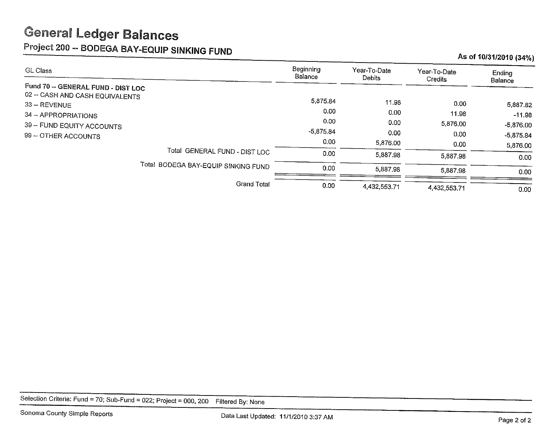# **General Ledger Balances**

Project 200 -- BODEGA BAY-EQUIP SINKING FUND As of 10/31/2010 (34%)

| GL Class                                                                                                                                                          | Beginning<br>Balance                                         | Year-To-Date<br>Debits        | Year-To-Date<br>Credits           | Ending                                                        |
|-------------------------------------------------------------------------------------------------------------------------------------------------------------------|--------------------------------------------------------------|-------------------------------|-----------------------------------|---------------------------------------------------------------|
| Fund 70 -- GENERAL FUND - DIST LOC<br>02 - CASH AND CASH EQUIVALENTS<br>33 -- REVENUE<br>34 - APPROPRIATIONS<br>39 - FUND EQUITY ACCOUNTS<br>99 -- OTHER ACCOUNTS | 5,875.84<br>0.00<br>0.00<br>$-5,875.84$<br>0.00 <sub>1</sub> | 11.98<br>0.00<br>0.00<br>0.00 | 0.00<br>11.98<br>5,876.00<br>0.00 | Balance<br>5,887.82<br>$-11.98$<br>$-5,876.00$<br>$-5,875.84$ |
| Total GENERAL FUND - DIST LOC                                                                                                                                     | 0.00                                                         | 5,876.00<br>5,887.98          | 0.00<br>5,887.98                  | 5,876.00<br>0.00 <sub>1</sub>                                 |
| Total BODEGA BAY-EQUIP SINKING FUND                                                                                                                               | 0.00                                                         | 5,887.98                      | 5,887.98                          | 0.00                                                          |
| <b>Grand Total</b>                                                                                                                                                | 0.00                                                         | 4,432,553.71                  | 4,432,553.71                      | 0.00 <sub>1</sub>                                             |

Selection Criteria: Fund = 70; Sub-Fund = 022; Project = 000, 200 Filtered By: None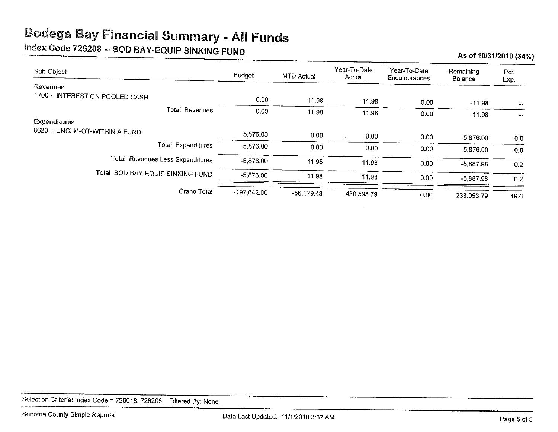# Index Code 726208 -- BOD BAY-EQUIP SINKING FUND As of 10/31/2010 (34%)

| Sub-Object                       | Budget        | MTD Actual   | Year-To-Date<br>Actual | Year-To-Date<br>Encumbrances | Remaining<br>Balance | Pct.<br>Exp. |
|----------------------------------|---------------|--------------|------------------------|------------------------------|----------------------|--------------|
| Revenues                         |               |              |                        |                              |                      |              |
| 1700 - INTEREST ON POOLED CASH   | 0.00          | 11.98        | 11.98                  | 0.00                         | $-11.98$             |              |
| <b>Total Revenues</b>            | 0.00          | 11.98        | 11.98                  | 0.00                         | $-11.98$             | $-$          |
| <b>Expenditures</b>              |               |              |                        |                              |                      |              |
| 8620 -- UNCLM-OT-WITHIN A FUND   | 5,876.00      | 0.00         | 0.00                   | 0.00                         | 5,876.00             | 0.0          |
| <b>Total Expenditures</b>        | 5.876.00      | 0.00         | 0.00                   | 0.00                         | 5,876.00             | 0.0          |
| Total Revenues Less Expenditures | $-5,876.00$   | 11.98        | 11.98                  | 0.00                         | $-5,887.98$          | 0.2          |
| Total BOD BAY-EQUIP SINKING FUND | $-5.876.00$   | 11.98        | 11.98                  | 0.00                         | $-5,887.98$          | 0.2          |
| <b>Grand Total</b>               | $-197.542.00$ | $-56,179.43$ | -430,595.79            | 0.00                         | 233,053.79           | 19.6         |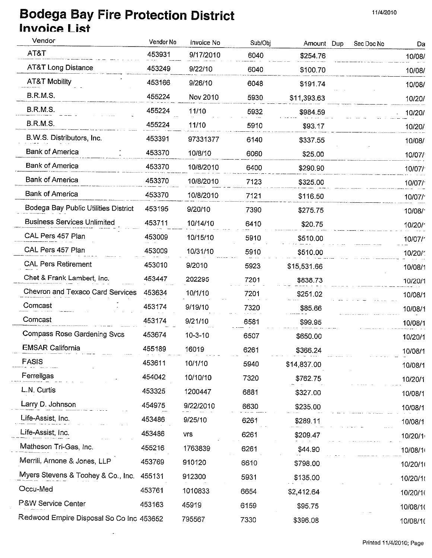## Bodega Bay Fire Protection District **11/4/2010** 11/4/2010 Invoice List

 $\mathbb{Z}^2$ 

| Vendor                                   | Vendor No | Invoice No    | Sub/Obj | Amount Dup  | Sec Doc No | Da                  |
|------------------------------------------|-----------|---------------|---------|-------------|------------|---------------------|
| AT&T                                     | 453931    | 9/17/2010     | 6040    | \$254.76    |            | 10/08/              |
| <b>AT&amp;T Long Distance</b>            | 453249    | 9/22/10       | 6040    | \$100.70    |            | 10/08/              |
| <b>AT&amp;T Mobility</b>                 | 453166    | 9/26/10       | 6048    | \$191.74    |            | 10/08/              |
| <b>B.R.M.S.</b>                          | 455224    | Nov 2010      | 5930    | \$11,393.63 |            | 10/20/              |
| <b>B.R.M.S.</b>                          | 455224    | 11/10         | 5932    | \$984.59    |            | 10/20/              |
| B.R.M.S.                                 | 455224    | 11/10         | 5910    | \$93.17     |            | 10/20/              |
| B.W.S. Distributors, Inc.                | 453391    | 97331377      | 6140    | \$337.55    |            | 10/08/              |
| <b>Bank of America</b>                   | 453370    | 10/8/10       | 6060    | \$25.00     |            | 10/07/              |
| <b>Bank of America</b>                   | 453370    | 10/8/2010     | 6400    | \$290.90    |            | 10/07/              |
| <b>Bank of America</b>                   | 453370    | 10/8/2010     | 7123    | \$325.00    |            | 10/07/              |
| <b>Bank of America</b>                   | 453370    | 10/8/2010     | 7121    | \$116.50    |            | 10/07/              |
| Bodega Bay Public Utilities District     | 453195    | 9/20/10       | 7390    | \$275.75    |            | 10/08/              |
| <b>Business Services Unlimited</b>       | 453711    | 10/14/10      | 6410    | \$20.75     |            | 10/20/              |
| CAL Pers 457 Plan                        | 453009    | 10/15/10      | 5910    | \$510.00    |            | 10/07/ <sup>-</sup> |
| CAL Pers 457 Plan                        | 453009    | 10/31/10      | 5910    | \$510.00    |            | 10/20/              |
| <b>CAL Pers Retirement</b>               | 453010    | 9/2010        | 5923    | \$15,531.66 |            | 10/08/1             |
| Chet & Frank Lambert, Inc.               | 453447    | 202295        | 7201    | \$838.73    |            | 10/20/1             |
| Chevron and Texaco Card Services         | 453634    | 10/1/10       | 7201    | \$251.02    |            | 10/08/1             |
| Comcast                                  | 453174    | 9/19/10       | 7320    | \$85.66     |            | 10/08/1             |
| Comcast                                  | 453174    | 9/21/10       | 6581    | \$99.95     |            | 10/08/1             |
| Compass Rose Gardening Svcs              | 453674    | $10 - 3 - 10$ | 6507    | \$650.00    |            | 10/20/1             |
| <b>EMSAR California</b>                  | 455189    | 16019         | 6261    | \$366.24    |            | 10/08/1             |
| <b>FASIS</b>                             | 453611    | 10/1/10       | 5940    | \$14,837.00 |            | 10/08/1             |
| Ferrellgas                               | 454042    | 10/10/10      | 7320    | \$762.75    |            | 10/20/1             |
| L.N. Curtis                              | 453325    | 1200447       | 6881    | \$327.00    |            | 10/08/1             |
| Larry D. Johnson                         | 454975    | 9/22/2010     | 6630    | \$235.00    |            | 10/08/1             |
| Life-Assist, Inc.                        | 453486    | 9/25/10       | 6261    | \$289.11    |            | 10/08/1             |
| Life-Assist, Inc.                        | 453486    | <b>vrs</b>    | 6261    | \$209.47    |            | 10/20/1             |
| Matheson Tri-Gas, Inc.                   | 455216    | 1763839       | 6261    | \$44.90     |            | 10/08/1             |
| Merrill, Arnone & Jones, LLP             | 453769    | 910120        | 6610    | \$798.00    |            | 10/20/1             |
| Myers Stevens & Toohey & Co., Inc.       | 455131    | 912300        | 5931    | \$135.00    |            | 10/20/1             |
| Occu-Med                                 | 453761    | 1010833       | 6654    | \$2,412.64  |            | 10/20/1             |
| P&W Service Center                       | 453163    | 45919         | 6159    | \$95.75     |            | 10/08/1             |
| Redwood Empire Disposal So Co Inc 453652 |           | 795567        | 7330    | \$396.08    |            | 10/08/10            |